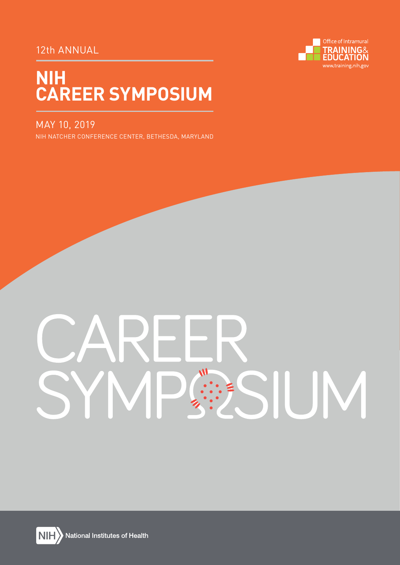# 12th ANNUAL



# **NIH CAREER SYMPOSIUM**

# MAY 10, 2019

NIH NATCHER CONFERENCE CENTER, BETHESDA, MARYLAND

# $\overline{M}$ SIUM



National Institutes of Health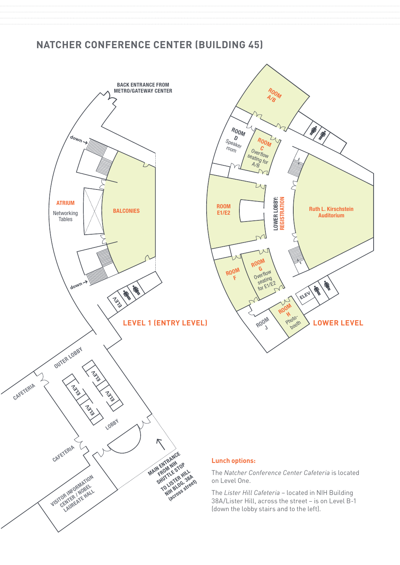# **NATCHER CONFERENCE CENTER (BUILDING 45)**





### **Lunch options:**

The *Natcher Conference Center Cafeteria* is located on Level One.

The *Lister Hill Cafeteria* – located in NIH Building 38A/Lister Hill, across the street – is on Level B-1 (down the lobby stairs and to the left).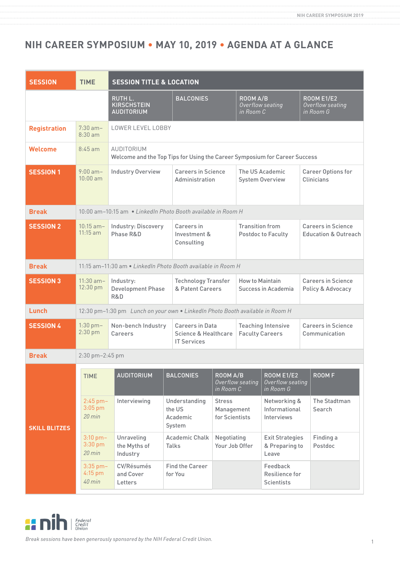# **NIH CAREER SYMPOSIUM • MAY 10, 2019 • AGENDA AT A GLANCE**

| <b>SESSION</b>       | <b>TIME</b>                                    | <b>SESSION TITLE &amp; LOCATION</b>                                                      |                                               |                                                |                                           |                                                     |                                                              |                                                    |  |
|----------------------|------------------------------------------------|------------------------------------------------------------------------------------------|-----------------------------------------------|------------------------------------------------|-------------------------------------------|-----------------------------------------------------|--------------------------------------------------------------|----------------------------------------------------|--|
|                      |                                                | <b>RUTH L.</b><br><b>KIRSCHSTEIN</b><br><b>AUDITORIUM</b>                                | <b>BALCONIES</b>                              |                                                | ROOM A/B<br>Overflow seating<br>in Room C |                                                     |                                                              | <b>ROOM E1/E2</b><br>Overflow seating<br>in Room G |  |
| <b>Registration</b>  | $7:30$ am-<br>$8:30$ am                        | LOWER LEVEL LOBBY                                                                        |                                               |                                                |                                           |                                                     |                                                              |                                                    |  |
| <b>Welcome</b>       | $8:45$ am                                      | AUDITORIUM<br>Welcome and the Top Tips for Using the Career Symposium for Career Success |                                               |                                                |                                           |                                                     |                                                              |                                                    |  |
| <b>SESSION 1</b>     | $9:00$ am-<br>$10:00$ am                       | <b>Industry Overview</b>                                                                 | <b>Careers in Science</b><br>Administration   |                                                | The US Academic<br><b>System Overview</b> |                                                     | Career Options for<br><b>Clinicians</b>                      |                                                    |  |
| <b>Break</b>         |                                                | 10:00 am-10:15 am • LinkedIn Photo Booth available in Room H                             |                                               |                                                |                                           |                                                     |                                                              |                                                    |  |
| <b>SESSION 2</b>     | $10:15$ am-<br>$11:15$ am                      | Industry: Discovery<br>Phase R&D                                                         | Careers in<br>Investment &<br>Consulting      | <b>Transition from</b>                         |                                           | <b>Postdoc to Faculty</b>                           | <b>Careers in Science</b><br><b>Education &amp; Outreach</b> |                                                    |  |
| <b>Break</b>         |                                                | 11:15 am-11:30 am . LinkedIn Photo Booth available in Room H                             |                                               |                                                |                                           |                                                     |                                                              |                                                    |  |
| <b>SESSION 3</b>     | $11:30$ am-<br>12:30 pm                        | Industry:<br><b>Development Phase</b><br>R&D                                             |                                               | <b>Technology Transfer</b><br>& Patent Careers |                                           | <b>How to Maintain</b><br>Success in Academia       |                                                              | <b>Careers in Science</b><br>Policy & Advocacy     |  |
| Lunch                |                                                | 12:30 pm-1:30 pm Lunch on your own . LinkedIn Photo Booth available in Room H            |                                               |                                                |                                           |                                                     |                                                              |                                                    |  |
| <b>SESSION 4</b>     | $1:30$ pm $-$<br>$2:30$ pm                     | Non-bench Industry<br>Careers                                                            | <b>IT Services</b>                            | <b>Careers in Data</b><br>Science & Healthcare |                                           | <b>Teaching Intensive</b><br><b>Faculty Careers</b> |                                                              | <b>Careers in Science</b><br>Communication         |  |
| <b>Break</b>         |                                                | 2:30 pm-2:45 pm                                                                          |                                               |                                                |                                           |                                                     |                                                              |                                                    |  |
| <b>SKILL BLITZES</b> | <b>TIME</b>                                    | <b>AUDITORIUM</b>                                                                        | <b>BALCONIES</b>                              | ROOM A/B<br>in Room C                          | Overflow seating                          | <b>ROOM E1/E2</b><br>Overflow seating<br>in Room G  |                                                              | <b>ROOMF</b>                                       |  |
|                      | $2:45$ pm $-$<br>$3:05$ pm<br>$20$ min         | Interviewing                                                                             | Understanding<br>the US<br>Academic<br>System | <b>Stress</b><br>Management<br>for Scientists  |                                           | Networking &<br>Informational<br>Interviews         |                                                              | The Stadtman<br>Search                             |  |
|                      | $3:10$ pm $-$<br>$3:30$ pm<br>$20 \text{ min}$ | Unraveling<br>the Myths of<br>Industry                                                   | <b>Academic Chalk</b><br><b>Talks</b>         | Negotiating<br>Your Job Offer                  |                                           | <b>Exit Strategies</b><br>& Preparing to<br>Leave   |                                                              | Finding a<br>Postdoc                               |  |
|                      | $3:35$ pm $-$<br>4:15 pm<br>$40$ min           | CV/Résumés<br>and Cover<br>Letters                                                       | <b>Find the Career</b><br>for You             |                                                |                                           | Feedback<br>Resilience for<br><b>Scientists</b>     |                                                              |                                                    |  |

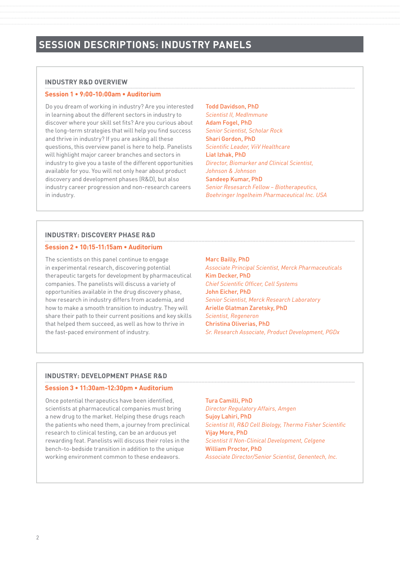### **INDUSTRY R&D OVERVIEW**

### **Session 1 • 9:00-10:00am • Auditorium**

Do you dream of working in industry? Are you interested in learning about the different sectors in industry to discover where your skill set fits? Are you curious about the long-term strategies that will help you find success and thrive in industry? If you are asking all these questions, this overview panel is here to help. Panelists will highlight major career branches and sectors in industry to give you a taste of the different opportunities available for you. You will not only hear about product discovery and development phases (R&D), but also industry career progression and non-research careers in industry.

Todd Davidson, PhD *Scientist II, MedImmune* Adam Fogel, PhD *Senior Scientist, Scholar Rock* Shari Gordon, PhD *Scientific Leader, ViiV Healthcare* Liat Izhak, PhD *Director, Biomarker and Clinical Scientist, Johnson & Johnson* Sandeep Kumar, PhD *Senior Resesarch Fellow – Biotherapeutics, Boehringer Ingelheim Pharmaceutical Inc. USA*

### **INDUSTRY: DISCOVERY PHASE R&D**

### **Session 2 • 10:15-11:15am • Auditorium**

The scientists on this panel continue to engage in experimental research, discovering potential therapeutic targets for development by pharmaceutical companies. The panelists will discuss a variety of opportunities available in the drug discovery phase, how research in industry differs from academia, and how to make a smooth transition to industry. They will share their path to their current positions and key skills that helped them succeed, as well as how to thrive in the fast-paced environment of industry.

### Marc Bailly, PhD

*Associate Principal Scientist, Merck Pharmaceuticals* Kim Decker, PhD *Chief Scientific Officer, Cell Systems* John Eicher, PhD *Senior Scientist, Merck Research Laboratory* Arielle Glatman Zaretsky, PhD *Scientist, Regeneron* Christina Oliverias, PhD *Sr. Research Associate, Product Development, PGDx*

### **INDUSTRY: DEVELOPMENT PHASE R&D**

### **Session 3 • 11:30am-12:30pm • Auditorium**

Once potential therapeutics have been identified, scientists at pharmaceutical companies must bring a new drug to the market. Helping these drugs reach the patients who need them, a journey from preclinical research to clinical testing, can be an arduous yet rewarding feat. Panelists will discuss their roles in the bench-to-bedside transition in addition to the unique working environment common to these endeavors.

Tura Camilli, PhD *Director Regulatory Affairs, Amgen* Sujoy Lahiri, PhD *Scientist III, R&D Cell Biology, Thermo Fisher Scientific* Vijay More, PhD *Scientist II Non-Clinical Development, Celgene* William Proctor, PhD *Associate Director/Senior Scientist, Genentech, Inc.*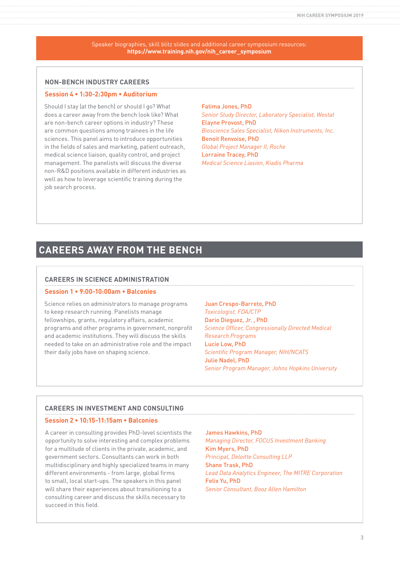Speaker biographies, skill blitz slides and additional career symposium resources: **https://www.training.nih.gov/nih\_career\_symposium**

### **NON-BENCH INDUSTRY CAREERS**

### **Session 4 • 1:30-2:30pm • Auditorium**

Should I stay (at the bench) or should I go? What does a career away from the bench look like? What are non-bench career options in industry? These are common questions among trainees in the life sciences. This panel aims to introduce opportunities in the fields of sales and marketing, patient outreach, medical science liaison, quality control, and project management. The panelists will discuss the diverse non-R&D positions available in different industries as well as how to leverage scientific training during the job search process.

Fatima Jones, PhD *Senior Study Director, Laboratory Specialist, Westat* Elayne Provost, PhD *Bioscience Sales Specialist, Nikon Instruments, Inc.* Benoit Renvoise, PhD *Global Project Manager II, Roche* Lorraine Tracey, PhD *Medical Science Liasion, Kiadis Pharma*

# **CAREERS AWAY FROM THE BENCH**

### **CAREERS IN SCIENCE ADMINISTRATION**

### **Session 1 • 9:00-10:00am • Balconies**

Science relies on administrators to manage programs to keep research running. Panelists manage fellowships, grants, regulatory affairs, academic programs and other programs in government, nonprofit and academic institutions. They will discuss the skills needed to take on an administrative role and the impact their daily jobs have on shaping science.

Juan Crespo-Barreto, PhD *Toxicologist, FDA/CTP* Dario Dieguez, Jr. , PhD *Science Officer, Congressionally Directed Medical Research Programs* Lucie Low, PhD *Scientific Program Manager, NIH/NCATS* Julie Nadel, PhD *Senior Program Manager, Johns Hopkins University*

### **CAREERS IN INVESTMENT AND CONSULTING**

### **Session 2 • 10:15-11:15am • Balconies**

A career in consulting provides PhD-level scientists the opportunity to solve interesting and complex problems for a multitude of clients in the private, academic, and government sectors. Consultants can work in both multidisciplinary and highly specialized teams in many different environments - from large, global firms to small, local start-ups. The speakers in this panel will share their experiences about transitioning to a consulting career and discuss the skills necessary to succeed in this field.

### James Hawkins, PhD

*Managing Director, FOCUS Investment Banking* Kim Myers, PhD *Principal, Deloitte Consulting LLP* Shane Trask, PhD *Lead Data Analytics Engineer, The MITRE Corporation* Felix Yu, PhD *Senior Consultant, Booz Allen Hamilton*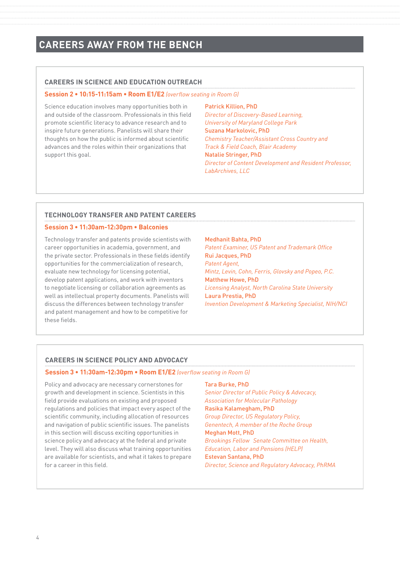# **CAREERS AWAY FROM THE BENCH**

### **CAREERS IN SCIENCE AND EDUCATION OUTREACH**

### **Session 2 • 10:15-11:15am • Room E1/E2** *(overflow seating in Room G)*

Science education involves many opportunities both in and outside of the classroom. Professionals in this field promote scientific literacy to advance research and to inspire future generations. Panelists will share their thoughts on how the public is informed about scientific advances and the roles within their organizations that support this goal.

Patrick Killion, PhD

*Director of Discovery-Based Learning, University of Maryland College Park* Suzana Markolovic, PhD *Chemistry Teacher/Assistant Cross Country and Track & Field Coach, Blair Academy* Natalie Stringer, PhD *Director of Content Development and Resident Professor, LabArchives, LLC*

### **TECHNOLOGY TRANSFER AND PATENT CAREERS**

### **Session 3 • 11:30am-12:30pm • Balconies**

Technology transfer and patents provide scientists with career opportunities in academia, government, and the private sector. Professionals in these fields identify opportunities for the commercialization of research, evaluate new technology for licensing potential, develop patent applications, and work with inventors to negotiate licensing or collaboration agreements as well as intellectual property documents. Panelists will discuss the differences between technology transfer and patent management and how to be competitive for these fields.

### Medhanit Bahta, PhD

Tara Burke, PhD

*Patent Examiner, US Patent and Trademark Office* Rui Jacques, PhD *Patent Agent, Mintz, Levin, Cohn, Ferris, Glovsky and Popeo, P.C.* Matthew Howe, PhD *Licensing Analyst, North Carolina State University* Laura Prestia, PhD *Invention Development & Marketing Specialist, NIH/NCI*

### **CAREERS IN SCIENCE POLICY AND ADVOCACY**

### **Session 3 • 11:30am-12:30pm • Room E1/E2** *(overflow seating in Room G)*

Policy and advocacy are necessary cornerstones for growth and development in science. Scientists in this field provide evaluations on existing and proposed regulations and policies that impact every aspect of the scientific community, including allocation of resources and navigation of public scientific issues. The panelists in this section will discuss exciting opportunities in science policy and advocacy at the federal and private level. They will also discuss what training opportunities are available for scientists, and what it takes to prepare for a career in this field.

*Senior Director of Public Policy & Advocacy, Association for Molecular Pathology* Rasika Kalamegham, PhD *Group Director, US Regulatory Policy, Genentech, A member of the Roche Group* Meghan Mott, PhD *Brookings Fellow Senate Committee on Health, Education, Labor and Pensions (HELP)* Estevan Santana, PhD *Director, Science and Regulatory Advocacy, PhRMA*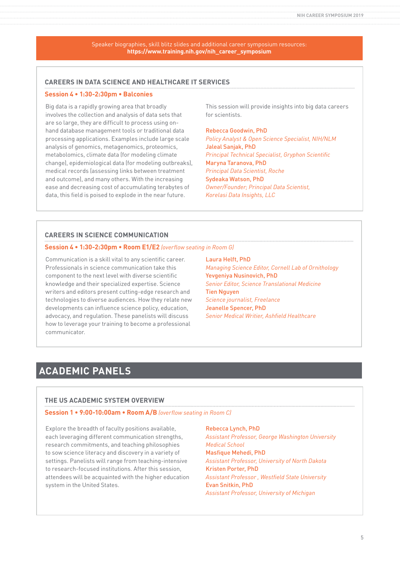Speaker biographies, skill blitz slides and additional career symposium resources: **https://www.training.nih.gov/nih\_career\_symposium**

### **CAREERS IN DATA SCIENCE AND HEALTHCARE IT SERVICES**

### **Session 4 • 1:30-2:30pm • Balconies**

Big data is a rapidly growing area that broadly involves the collection and analysis of data sets that are so large, they are difficult to process using onhand database management tools or traditional data processing applications. Examples include large scale analysis of genomics, metagenomics, proteomics, metabolomics, climate data (for modeling climate change), epidemiological data (for modeling outbreaks), medical records (assessing links between treatment and outcome), and many others. With the increasing ease and decreasing cost of accumulating terabytes of data, this field is poised to explode in the near future.

This session will provide insights into big data careers for scientists.

### Rebecca Goodwin, PhD

*Policy Analyst & Open Science Specialist, NIH/NLM* Jaleal Sanjak, PhD *Principal Technical Specialist, Gryphon Scientific* Maryna Taranova, PhD *Principal Data Scientist, Roche* Sydeaka Watson, PhD *Owner/Founder; Principal Data Scientist, Korelasi Data Insights, LLC*

### **CAREERS IN SCIENCE COMMUNICATION**

### **Session 4 • 1:30-2:30pm • Room E1/E2** *(overflow seating in Room G)*

Communication is a skill vital to any scientific career. Professionals in science communication take this component to the next level with diverse scientific knowledge and their specialized expertise. Science writers and editors present cutting-edge research and technologies to diverse audiences. How they relate new developments can influence science policy, education, advocacy, and regulation. These panelists will discuss how to leverage your training to become a professional communicator.

Laura Helft, PhD

*Managing Science Editor, Cornell Lab of Ornithology* Yevgeniya Nusinovich, PhD *Senior Editor, Science Translational Medicine* Tien Nguyen *Science journalist, Freelance* Jeanelle Spencer, PhD *Senior Medical Writier, Ashfield Healthcare*

# **ACADEMIC PANELS**

### **THE US ACADEMIC SYSTEM OVERVIEW**

### **Session 1 • 9:00-10:00am • Room A/B** *(overflow seating in Room C)*

Explore the breadth of faculty positions available, each leveraging different communication strengths, research commitments, and teaching philosophies to sow science literacy and discovery in a variety of settings. Panelists will range from teaching-intensive to research-focused institutions. After this session, attendees will be acquainted with the higher education system in the United States.

### Rebecca Lynch, PhD

*Assistant Professor, George Washington University Medical School* Masfique Mehedi, PhD *Assistant Professor, University of North Dakota* Kristen Porter, PhD *Assistant Professor , Westfield State University* Evan Snitkin, PhD *Assistant Professor, University of Michigan*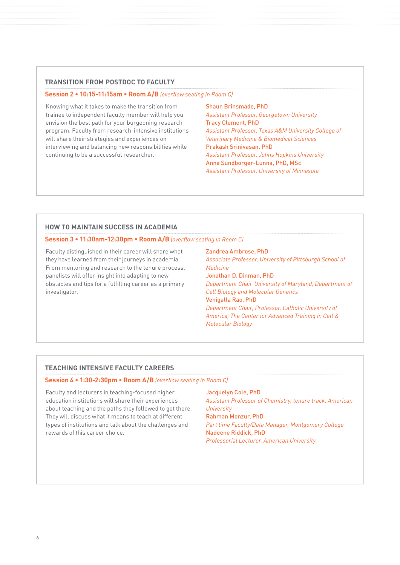### **TRANSITION FROM POSTDOC TO FACULTY**

### **Session 2 • 10:15-11:15am • Room A/B** *(overflow seating in Room C)*

Knowing what it takes to make the transition from trainee to independent faculty member will help you envision the best path for your burgeoning research program. Faculty from research-intensive institutions will share their strategies and experiences on interviewing and balancing new responsibilities while continuing to be a successful researcher.

Shaun Brinsmade, PhD *Assistant Professor, Georgetown University* Tracy Clement, PhD *Assistant Professor, Texas A&M University College of Veterinary Medicine & Biomedical Sciences* Prakash Srinivasan, PhD *Assistant Professor, Johns Hopkins University* Anna Sundborger-Lunna, PhD, MSc *Assistant Professor, University of Minnesota*

### **HOW TO MAINTAIN SUCCESS IN ACADEMIA**

### **Session 3 • 11:30am-12:30pm • Room A/B** *(overflow seating in Room C)*

Faculty distinguished in their career will share what they have learned from their journeys in academia. From mentoring and research to the tenure process, panelists will offer insight into adapting to new obstacles and tips for a fulfilling career as a primary investigator.

### Zandrea Ambrose, PhD

*Associate Professor, University of Pittsburgh School of Medicine* Jonathan D. Dinman, PhD *Department Chair University of Maryland, Department of Cell Biology and Molecular Genetics*  Venigalla Rao, PhD

*Department Chair; Professor, Catholic University of America, The Center for Advanced Training in Cell & Molecular Biology*

### **TEACHING INTENSIVE FACULTY CAREERS**

### **Session 4 • 1:30-2:30pm • Room A/B** *(overflow seating in Room C)*

Faculty and lecturers in teaching-focused higher education institutions will share their experiences about teaching and the paths they followed to get there. They will discuss what it means to teach at different types of institutions and talk about the challenges and rewards of this career choice.

Jacquelyn Cole, PhD *Assistant Professor of Chemistry, tenure track, American University* Rahman Monzur, PhD *Part time Faculty/Data Manager, Montgomery College* Nadeene Riddick, PhD *Professorial Lecturer, American University*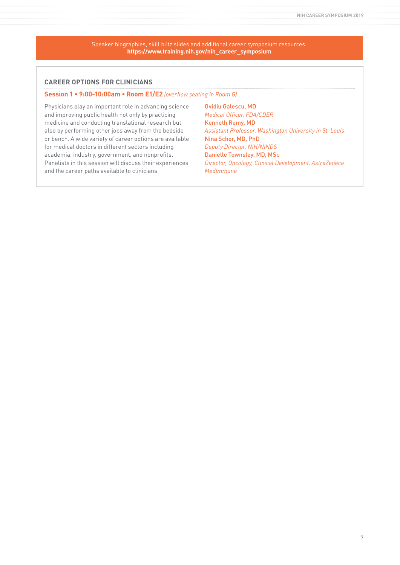Speaker biographies, skill blitz slides and additional career symposium resources: **https://www.training.nih.gov/nih\_career\_symposium**

### **CAREER OPTIONS FOR CLINICIANS**

### **Session 1 • 9:00-10:00am • Room E1/E2** *(overflow seating in Room G)*

Physicians play an important role in advancing science and improving public health not only by practicing medicine and conducting translational research but also by performing other jobs away from the bedside or bench. A wide variety of career options are available for medical doctors in different sectors including academia, industry, government, and nonprofits. Panelists in this session will discuss their experiences and the career paths available to clinicians.

Ovidiu Galescu, MD *Medical Officer, FDA/CDER* Kenneth Remy, MD *Assistant Professor, Washington University in St. Louis* Nina Schor, MD, PhD *Deputy Director, NIH/NINDS* Danielle Townsley, MD, MSc *Director, Oncology, Clinical Development, AstraZeneca MedImmune*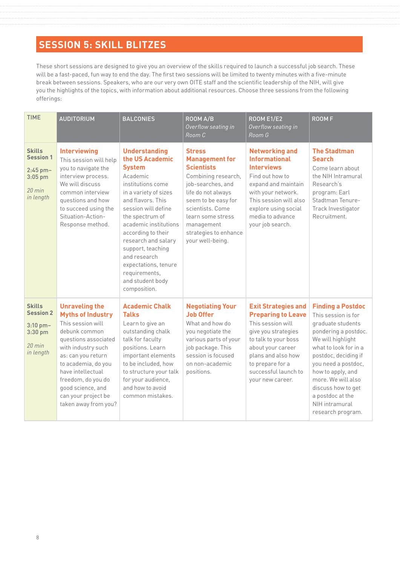# **SESSION 5: SKILL BLITZES**

These short sessions are designed to give you an overview of the skills required to launch a successful job search. These will be a fast-paced, fun way to end the day. The first two sessions will be limited to twenty minutes with a five-minute break between sessions. Speakers, who are our very own OITE staff and the scientific leadership of the NIH, will give you the highlights of the topics, with information about additional resources. Choose three sessions from the following offerings:

| <b>TIME</b>                                                                            | <b>AUDITORIUM</b>                                                                                                                                                                                                                                                                                 | <b>BALCONIES</b>                                                                                                                                                                                                                                                                                                                                                          | $\overline{ROOM}$ A/B<br>Overflow seating in<br>Room C                                                                                                                                                                                                   | <b>ROOM E1/E2</b><br>Overflow seating in<br>Room G                                                                                                                                                                                     | <b>ROOMF</b>                                                                                                                                                                                                                                                                                                          |
|----------------------------------------------------------------------------------------|---------------------------------------------------------------------------------------------------------------------------------------------------------------------------------------------------------------------------------------------------------------------------------------------------|---------------------------------------------------------------------------------------------------------------------------------------------------------------------------------------------------------------------------------------------------------------------------------------------------------------------------------------------------------------------------|----------------------------------------------------------------------------------------------------------------------------------------------------------------------------------------------------------------------------------------------------------|----------------------------------------------------------------------------------------------------------------------------------------------------------------------------------------------------------------------------------------|-----------------------------------------------------------------------------------------------------------------------------------------------------------------------------------------------------------------------------------------------------------------------------------------------------------------------|
| <b>Skills</b><br><b>Session 1</b><br>$2:45$ pm-<br>3:05 pm<br>$20$ min<br>in length    | <b>Interviewing</b><br>This session will help<br>you to navigate the<br>interview process.<br>We will discuss<br>common interview<br>questions and how<br>to succeed using the<br>Situation-Action-<br>Response method.                                                                           | <b>Understanding</b><br>the US Academic<br><b>System</b><br>Academic<br>institutions come<br>in a variety of sizes<br>and flavors. This<br>session will define<br>the spectrum of<br>academic institutions<br>according to their<br>research and salary<br>support, teaching<br>and research<br>expectations, tenure<br>requirements,<br>and student body<br>composition. | <b>Stress</b><br><b>Management for</b><br><b>Scientists</b><br>Combining research,<br>job-searches, and<br>life do not always<br>seem to be easy for<br>scientists, Come<br>learn some stress<br>management<br>strategies to enhance<br>your well-being. | <b>Networking and</b><br><b>Informational</b><br><b>Interviews</b><br>Find out how to<br>expand and maintain<br>with your network.<br>This session will also<br>explore using social<br>media to advance<br>your job search.           | <b>The Stadtman</b><br><b>Search</b><br>Come learn about<br>the NIH Intramural<br>Research's<br>program: Earl<br>Stadtman Tenure-<br>Track Investigator<br>Recruitment.                                                                                                                                               |
| <b>Skills</b><br><b>Session 2</b><br>$3:10$ pm $-$<br>3:30 pm<br>$20$ min<br>in length | <b>Unraveling the</b><br><b>Myths of Industry</b><br>This session will<br>debunk common<br>questions associated<br>with industry such<br>as: can you return<br>to academia, do you<br>have intellectual<br>freedom, do you do<br>good science, and<br>can your project be<br>taken away from you? | <b>Academic Chalk</b><br><b>Talks</b><br>Learn to give an<br>outstanding chalk<br>talk for faculty<br>positions. Learn<br>important elements<br>to be included, how<br>to structure your talk<br>for your audience,<br>and how to avoid<br>common mistakes                                                                                                                | <b>Negotiating Your</b><br><b>Job Offer</b><br>What and how do<br>you negotiate the<br>various parts of your<br>job package. This<br>session is focused<br>on non-academic<br>positions.                                                                 | <b>Exit Strategies and</b><br><b>Preparing to Leave</b><br>This session will<br>give you strategies<br>to talk to your boss<br>about your career<br>plans and also how<br>to prepare for a<br>successful launch to<br>your new career. | <b>Finding a Postdoc</b><br>This session is for<br>graduate students<br>pondering a postdoc.<br>We will highlight<br>what to look for in a<br>postdoc, deciding if<br>you need a postdoc,<br>how to apply, and<br>more. We will also<br>discuss how to get<br>a postdoc at the<br>NIH intramural<br>research program. |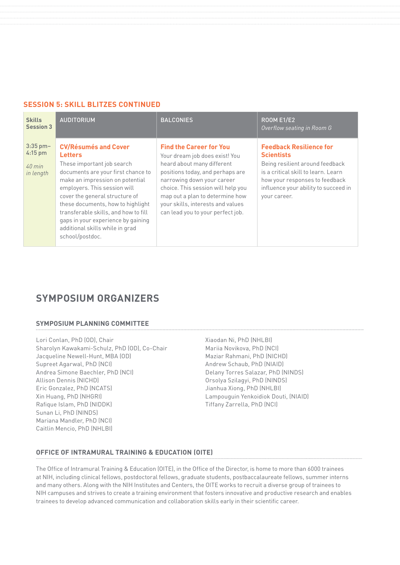### **SESSION 5: SKILL BLITZES CONTINUED**

| <b>Skills</b><br><b>Session 3</b>                | <b>AUDITORIUM</b>                                                                                                                                                                                                                                                                                                                                                                               | <b>BALCONIES</b>                                                                                                                                                                                                                                                                                                    | <b>ROOM E1/E2</b><br>Overflow seating in Room G                                                                                                                                                                         |
|--------------------------------------------------|-------------------------------------------------------------------------------------------------------------------------------------------------------------------------------------------------------------------------------------------------------------------------------------------------------------------------------------------------------------------------------------------------|---------------------------------------------------------------------------------------------------------------------------------------------------------------------------------------------------------------------------------------------------------------------------------------------------------------------|-------------------------------------------------------------------------------------------------------------------------------------------------------------------------------------------------------------------------|
| $3:35$ pm-<br>$4:15$ pm<br>$40$ min<br>in length | <b>CV/Résumés and Cover</b><br><b>Letters</b><br>These important job search<br>documents are your first chance to<br>make an impression on potential<br>employers. This session will<br>cover the general structure of<br>these documents, how to highlight<br>transferable skills, and how to fill<br>gaps in your experience by gaining<br>additional skills while in grad<br>school/postdoc. | <b>Find the Career for You</b><br>Your dream job does exist! You<br>heard about many different<br>positions today, and perhaps are<br>narrowing down your career<br>choice. This session will help you<br>map out a plan to determine how<br>your skills, interests and values<br>can lead you to your perfect job. | <b>Feedback Resilience for</b><br><b>Scientists</b><br>Being resilient around feedback<br>is a critical skill to learn. Learn<br>how your responses to feedback<br>influence your ability to succeed in<br>your career. |

## **SYMPOSIUM ORGANIZERS**

### **SYMPOSIUM PLANNING COMMITTEE**

Lori Conlan, PhD (OD), Chair Sharolyn Kawakami-Schulz, PhD (OD), Co-Chair Jacqueline Newell-Hunt, MBA (OD) Supreet Agarwal, PhD (NCI) Andrea Simone Baechler, PhD (NCI) Allison Dennis (NICHD) Eric Gonzalez, PhD (NCATS) Xin Huang, PhD (NHGRI) Rafique Islam, PhD (NIDDK) Sunan Li, PhD (NINDS) Mariana Mandler, PhD (NCI) Caitlin Mencio, PhD (NHLBI)

Xiaodan Ni, PhD (NHLBI) Mariia Novikova, PhD (NCI) Maziar Rahmani, PhD (NICHD) Andrew Schaub, PhD (NIAID) Delany Torres Salazar, PhD (NINDS) Orsolya Szilagyi, PhD (NINDS) Jianhua Xiong, PhD (NHLBI) Lampouguin Yenkoidiok Douti, (NIAID) Tiffany Zarrella, PhD (NCI)

### **OFFICE OF INTRAMURAL TRAINING & EDUCATION (OITE)**

The Office of Intramural Training & Education (OITE), in the Office of the Director, is home to more than 6000 trainees at NIH, including clinical fellows, postdoctoral fellows, graduate students, postbaccalaureate fellows, summer interns and many others. Along with the NIH Institutes and Centers, the OITE works to recruit a diverse group of trainees to NIH campuses and strives to create a training environment that fosters innovative and productive research and enables trainees to develop advanced communication and collaboration skills early in their scientific career.